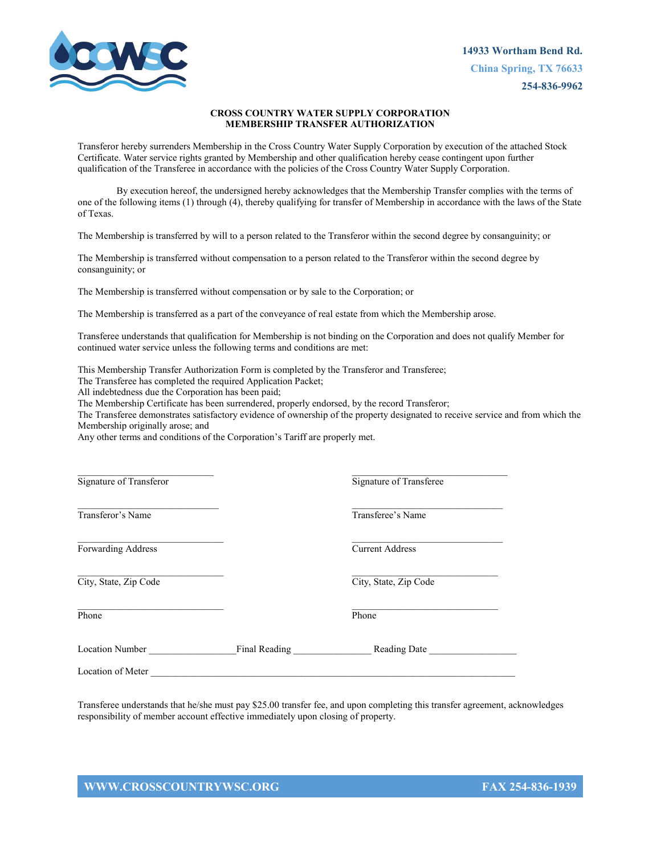

## **CROSS COUNTRY WATER SUPPLY CORPORATION MEMBERSHIP TRANSFER AUTHORIZATION**

Transferor hereby surrenders Membership in the Cross Country Water Supply Corporation by execution of the attached Stock Certificate. Water service rights granted by Membership and other qualification hereby cease contingent upon further qualification of the Transferee in accordance with the policies of the Cross Country Water Supply Corporation.

By execution hereof, the undersigned hereby acknowledges that the Membership Transfer complies with the terms of one of the following items (1) through (4), thereby qualifying for transfer of Membership in accordance with the laws of the State of Texas.

The Membership is transferred by will to a person related to the Transferor within the second degree by consanguinity; or

The Membership is transferred without compensation to a person related to the Transferor within the second degree by consanguinity; or

The Membership is transferred without compensation or by sale to the Corporation; or

The Membership is transferred as a part of the conveyance of real estate from which the Membership arose.

Transferee understands that qualification for Membership is not binding on the Corporation and does not qualify Member for continued water service unless the following terms and conditions are met:

This Membership Transfer Authorization Form is completed by the Transferor and Transferee;

The Transferee has completed the required Application Packet;

All indebtedness due the Corporation has been paid;

The Membership Certificate has been surrendered, properly endorsed, by the record Transferor;

The Transferee demonstrates satisfactory evidence of ownership of the property designated to receive service and from which the Membership originally arose; and

Any other terms and conditions of the Corporation's Tariff are properly met.

| Signature of Transferor   |               | Signature of Transferee |
|---------------------------|---------------|-------------------------|
| Transferor's Name         |               | Transferee's Name       |
| <b>Forwarding Address</b> |               | <b>Current Address</b>  |
| City, State, Zip Code     |               | City, State, Zip Code   |
| Phone                     |               | Phone                   |
| Location Number           | Final Reading | Reading Date            |
| Location of Meter         |               |                         |

Transferee understands that he/she must pay \$25.00 transfer fee, and upon completing this transfer agreement, acknowledges responsibility of member account effective immediately upon closing of property.